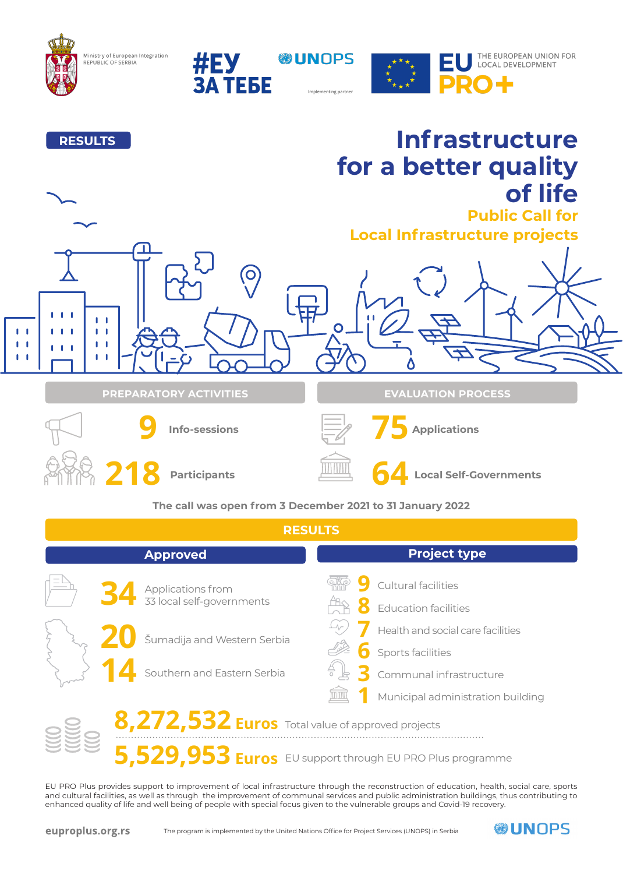

Ministry of European Integration<br>REPUBLIC OF SERBIA





## **Infrastructure RESULTS for a better quality of life Public Call for Local Infrastructure projects**  $\Omega$  $\overline{\phantom{a}}$  $\mathbf{I}$  $\mathbf{L}$  $111$  $\pmb{\mathbb{I}}$  $\overline{\phantom{a}}$  $\mathbf{L}$  $\mathbf{I}$  $\blacksquare$  $\mathbf{L}$  $\mathbf{r}$ **I PREPARATORY ACTIVITIES EVALUATION PROCESS 75 Applications 9 Info-sessions 218 Participants 64 Local Self-Governments The call was open from 3 December 2021 to 31 January 2022 RESULTS Project type Approved 34** Applications from **19**<br>33 local self-governments AB Cultural facilities Applications from **8** Education facilities **7 20** Health and social care facilities Šumadija and Western Serbia **6** Sports facilities **14 3** Southern and Eastern Serbia Communal infrastructure **1** TITTINI Municipal administration building 8,272,532 Euros Total value of approved projects

**5,529,953 Euros** EU support through EU PRO Plus programme

EU PRO Plus provides support to improvement of local infrastructure through the reconstruction of education, health, social care, sports and cultural facilities, as well as through the improvement of communal services and public administration buildings, thus contributing to enhanced quality of life and well being of people with special focus given to the vulnerable groups and Covid-19 recovery.

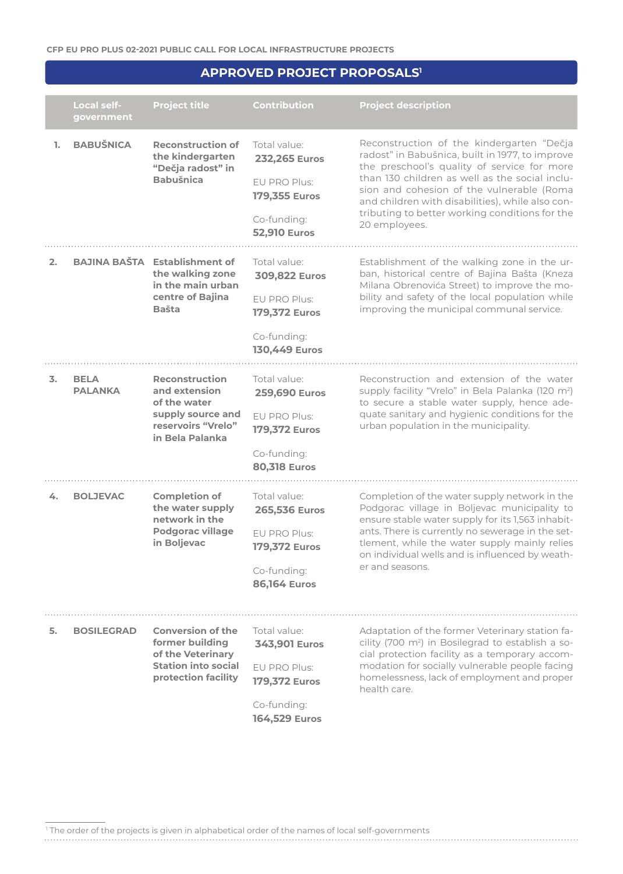## **APPROVED PROJECT PROPOSALS1**

|    | Local self-<br>government     | <b>Project title</b>                                                                                                  | <b>Contribution</b>                                                                                         | <b>Project description</b>                                                                                                                                                                                                                                                                                                                                        |
|----|-------------------------------|-----------------------------------------------------------------------------------------------------------------------|-------------------------------------------------------------------------------------------------------------|-------------------------------------------------------------------------------------------------------------------------------------------------------------------------------------------------------------------------------------------------------------------------------------------------------------------------------------------------------------------|
| 1. | <b>BABUŠNICA</b>              | <b>Reconstruction of</b><br>the kindergarten<br>"Dečja radost" in<br><b>Babušnica</b>                                 | Total value:<br><b>232,265 Euros</b><br>EU PRO Plus:<br>179,355 Euros<br>Co-funding:<br><b>52,910 Euros</b> | Reconstruction of the kindergarten "Dečja<br>radost" in Babušnica, built in 1977, to improve<br>the preschool's quality of service for more<br>than 130 children as well as the social inclu-<br>sion and cohesion of the vulnerable (Roma<br>and children with disabilities), while also con-<br>tributing to better working conditions for the<br>20 employees. |
| 2. |                               | <b>BAJINA BAŠTA Establishment of</b><br>the walking zone<br>in the main urban<br>centre of Bajina<br><b>Bašta</b>     | Total value:<br>309,822 Euros<br>FU PRO Plus:<br>179,372 Euros<br>Co-funding:<br><b>130,449 Euros</b>       | Establishment of the walking zone in the ur-<br>ban, historical centre of Bajina Bašta (Kneza<br>Milana Obrenovića Street) to improve the mo-<br>bility and safety of the local population while<br>improving the municipal communal service.                                                                                                                     |
| 3. | <b>BELA</b><br><b>PALANKA</b> | <b>Reconstruction</b><br>and extension<br>of the water<br>supply source and<br>reservoirs "Vrelo"<br>in Bela Palanka  | Total value:<br>259,690 Euros<br>EU PRO Plus:<br>179,372 Euros<br>Co-funding:<br><b>80,318 Euros</b>        | Reconstruction and extension of the water<br>supply facility "Vrelo" in Bela Palanka (120 m <sup>2</sup> )<br>to secure a stable water supply, hence ade-<br>quate sanitary and hygienic conditions for the<br>urban population in the municipality.                                                                                                              |
| 4. | <b>BOLJEVAC</b>               | <b>Completion of</b><br>the water supply<br>network in the<br><b>Podgorac village</b><br>in Boljevac                  | Total value:<br>265,536 Euros<br>EU PRO Plus:<br>179,372 Euros<br>Co-funding:<br><b>86,164 Euros</b>        | Completion of the water supply network in the<br>Podgorac village in Boljevac municipality to<br>ensure stable water supply for its 1,563 inhabit-<br>ants. There is currently no sewerage in the set-<br>tlement, while the water supply mainly relies<br>on individual wells and is influenced by weath-<br>er and seasons.                                     |
| 5. | <b>BOSILEGRAD</b>             | <b>Conversion of the</b><br>former building<br>of the Veterinary<br><b>Station into social</b><br>protection facility | Total value:<br>343,901 Euros<br>EU PRO Plus:<br>179,372 Euros<br>Co-funding:<br><b>164,529 Euros</b>       | Adaptation of the former Veterinary station fa-<br>cility (700 m <sup>2</sup> ) in Bosilegrad to establish a so-<br>cial protection facility as a temporary accom-<br>modation for socially vulnerable people facing<br>homelessness, lack of employment and proper<br>health care.                                                                               |

1 The order of the projects is given in alphabetical order of the names of local self-governments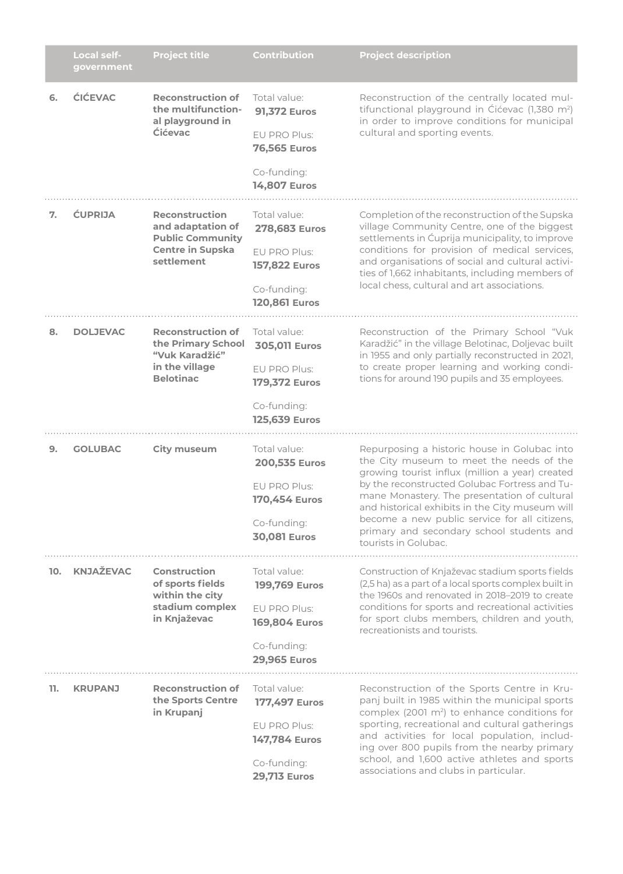|     | <b>Local self-</b><br>government | <b>Project title</b>                                                                                           | <b>Contribution</b>                                                                                                | <b>Project description</b>                                                                                                                                                                                                                                                                                                                                                                                            |
|-----|----------------------------------|----------------------------------------------------------------------------------------------------------------|--------------------------------------------------------------------------------------------------------------------|-----------------------------------------------------------------------------------------------------------------------------------------------------------------------------------------------------------------------------------------------------------------------------------------------------------------------------------------------------------------------------------------------------------------------|
| 6.  | <b>ĆIĆEVAC</b>                   | <b>Reconstruction of</b><br>the multifunction-<br>al playground in<br><b>Ćićevac</b>                           | Total value:<br><b>91,372 Euros</b><br>EU PRO Plus:<br><b>76,565 Euros</b><br>Co-funding:<br><b>14,807 Euros</b>   | Reconstruction of the centrally located mul-<br>tifunctional playground in Cicevac (1,380 m <sup>2</sup> )<br>in order to improve conditions for municipal<br>cultural and sporting events.                                                                                                                                                                                                                           |
| 7.  | <b>CUPRIJA</b>                   | <b>Reconstruction</b><br>and adaptation of<br><b>Public Community</b><br><b>Centre in Supska</b><br>settlement | Total value:<br>278,683 Euros<br>EU PRO Plus:<br><b>157,822 Euros</b><br>Co-funding:<br><b>120,861 Euros</b>       | Completion of the reconstruction of the Supska<br>village Community Centre, one of the biggest<br>settlements in Ćuprija municipality, to improve<br>conditions for provision of medical services,<br>and organisations of social and cultural activi-<br>ties of 1,662 inhabitants, including members of<br>local chess, cultural and art associations.                                                              |
| 8.  | <b>DOLJEVAC</b>                  | <b>Reconstruction of</b><br>the Primary School<br>"Vuk Karadžić"<br>in the village<br><b>Belotinac</b>         | Total value:<br><b>305,011 Euros</b><br>EU PRO Plus:<br>179,372 Euros<br>Co-funding:<br><b>125,639 Euros</b>       | Reconstruction of the Primary School "Vuk<br>Karadžić" in the village Belotinac, Doljevac built<br>in 1955 and only partially reconstructed in 2021,<br>to create proper learning and working condi-<br>tions for around 190 pupils and 35 employees.                                                                                                                                                                 |
| 9.  | <b>GOLUBAC</b>                   | <b>City museum</b>                                                                                             | Total value:<br>200,535 Euros<br>EU PRO Plus:<br>170,454 Euros<br>Co-funding:<br><b>30,081 Euros</b>               | Repurposing a historic house in Golubac into<br>the City museum to meet the needs of the<br>growing tourist influx (million a year) created<br>by the reconstructed Golubac Fortress and Tu-<br>mane Monastery. The presentation of cultural<br>and historical exhibits in the City museum will<br>become a new public service for all citizens,<br>primary and secondary school students and<br>tourists in Golubac. |
| 10. | <b>KNJAŽEVAC</b>                 | <b>Construction</b><br>of sports fields<br>within the city<br>stadium complex<br>in Knjaževac                  | Total value:<br><b>199,769 Euros</b><br>EU PRO Plus:<br><b>169,804 Euros</b><br>Co-funding:<br><b>29,965 Euros</b> | Construction of Knjaževac stadium sports fields<br>(2,5 ha) as a part of a local sports complex built in<br>the 1960s and renovated in 2018-2019 to create<br>conditions for sports and recreational activities<br>for sport clubs members, children and youth,<br>recreationists and tourists.                                                                                                                       |
| 11. | <b>KRUPANJ</b>                   | <b>Reconstruction of</b><br>the Sports Centre<br>in Krupanj                                                    | Total value:<br>177,497 Euros<br>EU PRO Plus:<br><b>147,784 Euros</b><br>Co-funding:<br><b>29,713 Euros</b>        | Reconstruction of the Sports Centre in Kru-<br>panj built in 1985 within the municipal sports<br>complex (2001 m <sup>2</sup> ) to enhance conditions for<br>sporting, recreational and cultural gatherings<br>and activities for local population, includ-<br>ing over 800 pupils from the nearby primary<br>school, and 1,600 active athletes and sports<br>associations and clubs in particular.                   |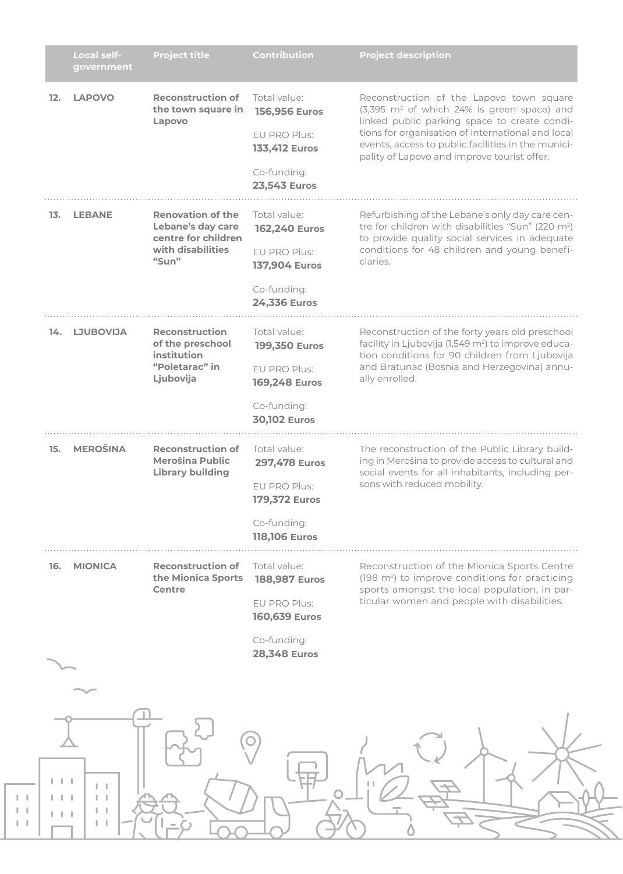|     | Local self-<br>government | <b>Project title</b>                                                                               | <b>Contribution</b>                                                                                                | <b>Project description</b>                                                                                                                                                                                                                                                                                   |
|-----|---------------------------|----------------------------------------------------------------------------------------------------|--------------------------------------------------------------------------------------------------------------------|--------------------------------------------------------------------------------------------------------------------------------------------------------------------------------------------------------------------------------------------------------------------------------------------------------------|
| 12. | <b>LAPOVO</b>             | <b>Reconstruction of</b><br>the town square in<br>Lapovo                                           | Total value:<br><b>156,956 Euros</b><br>EU PRO Plus:<br><b>133,412 Euros</b><br>Co-funding:<br><b>23,543 Euros</b> | Reconstruction of the Lapovo town square<br>(3,395 m <sup>2</sup> of which 24% is green space) and<br>linked public parking space to create condi-<br>tions for organisation of international and local<br>events, access to public facilities in the munici-<br>pality of Lapovo and improve tourist offer. |
| 13. | <b>LEBANE</b>             | <b>Renovation of the</b><br>Lebane's day care<br>centre for children<br>with disabilities<br>"Sum" | Total value:<br><b>162,240 Euros</b><br>EU PRO Plus:<br><b>137,904 Euros</b><br>Co-funding:<br><b>24,336 Euros</b> | Refurbishing of the Lebane's only day care cen-<br>tre for children with disabilities "Sun" (220 m <sup>2</sup> )<br>to provide quality social services in adequate<br>conditions for 48 children and young benefi-<br>ciaries.                                                                              |
| 14. | <b>LJUBOVIJA</b>          | <b>Reconstruction</b><br>of the preschool<br>institution<br>"Poletarac" in<br>Ljubovija            | Total value:<br><b>199,350 Euros</b><br>EU PRO Plus:<br><b>169,248 Euros</b><br>Co-funding:<br><b>30,102 Euros</b> | Reconstruction of the forty years old preschool<br>facility in Ljubovija (1,549 m <sup>2</sup> ) to improve educa-<br>tion conditions for 90 children from Ljubovija<br>and Bratunac (Bosnia and Herzegovina) annu-<br>ally enrolled.                                                                        |
| 15. | <b>MEROŠINA</b>           | <b>Reconstruction of</b><br><b>Merošina Public</b><br><b>Library building</b>                      | Total value:<br><b>297,478 Euros</b><br>EU PRO Plus:<br>179,372 Euros<br>Co-funding:<br><b>118,106 Euros</b>       | The reconstruction of the Public Library build-<br>ing in Merošina to provide access to cultural and<br>social events for all inhabitants, including per-<br>sons with reduced mobility.                                                                                                                     |
| 16. | <b>MIONICA</b>            | <b>Reconstruction of</b><br>the Mionica Sports<br>Centre                                           | Total value:<br><b>188,987 Euros</b><br>EU PRO Plus:<br><b>160,639 Euros</b><br>Co-funding:<br><b>28,348 Euros</b> | Reconstruction of the Mionica Sports Centre<br>(198 m <sup>2</sup> ) to improve conditions for practicing<br>sports amongst the local population, in par-<br>ticular women and people with disabilities.                                                                                                     |
| .   |                           |                                                                                                    |                                                                                                                    |                                                                                                                                                                                                                                                                                                              |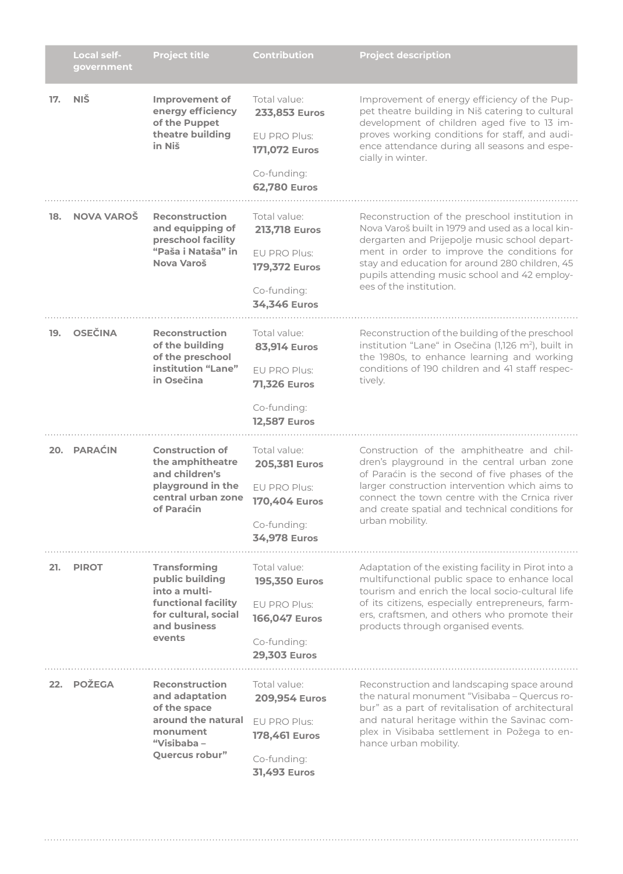|     | <b>Local self-</b><br>government | <b>Project title</b>                                                                                                                    | <b>Contribution</b>                                                                                                | <b>Project description</b>                                                                                                                                                                                                                                                                                                       |
|-----|----------------------------------|-----------------------------------------------------------------------------------------------------------------------------------------|--------------------------------------------------------------------------------------------------------------------|----------------------------------------------------------------------------------------------------------------------------------------------------------------------------------------------------------------------------------------------------------------------------------------------------------------------------------|
| 17. | <b>NIŠ</b>                       | <b>Improvement of</b><br>energy efficiency<br>of the Puppet<br>theatre building<br>in Niš                                               | Total value:<br>233,853 Euros<br>EU PRO Plus:<br><b>171,072 Euros</b><br>Co-funding:<br><b>62,780 Euros</b>        | Improvement of energy efficiency of the Pup-<br>pet theatre building in Niš catering to cultural<br>development of children aged five to 13 im-<br>proves working conditions for staff, and audi-<br>ence attendance during all seasons and espe-<br>cially in winter.                                                           |
| 18. | <b>NOVA VAROŠ</b>                | <b>Reconstruction</b><br>and equipping of<br>preschool facility<br>"Paša i Nataša" in<br>Nova Varoš                                     | Total value:<br><b>213,718 Euros</b><br>EU PRO Plus:<br><b>179,372 Euros</b><br>Co-funding:<br>34,346 Euros        | Reconstruction of the preschool institution in<br>Nova Varoš built in 1979 and used as a local kin-<br>dergarten and Prijepolje music school depart-<br>ment in order to improve the conditions for<br>stay and education for around 280 children, 45<br>pupils attending music school and 42 employ-<br>ees of the institution. |
| 19. | <b>OSEČINA</b>                   | <b>Reconstruction</b><br>of the building<br>of the preschool<br>institution "Lane"<br>in Osečina                                        | Total value:<br><b>83,914 Euros</b><br>EU PRO Plus:<br><b>71,326 Euros</b><br>Co-funding:<br><b>12,587 Euros</b>   | Reconstruction of the building of the preschool<br>institution "Lane" in Osečina (1,126 m <sup>2</sup> ), built in<br>the 1980s, to enhance learning and working<br>conditions of 190 children and 41 staff respec-<br>tively.                                                                                                   |
|     | 20. PARAĆIN                      | <b>Construction of</b><br>the amphitheatre<br>and children's<br>playground in the<br>central urban zone<br>of Paraćin                   | Total value:<br>205,381 Euros<br>EU PRO Plus:<br>170,404 Euros<br>Co-funding:<br><b>34,978 Euros</b>               | Construction of the amphitheatre and chil-<br>dren's playground in the central urban zone<br>of Paraćin is the second of five phases of the<br>larger construction intervention which aims to<br>connect the town centre with the Crnica river<br>and create spatial and technical conditions for<br>urban mobility.             |
| 21. | <b>PIROT</b>                     | <b>Transforming</b><br>public building<br>into a multi-<br><b>functional facility</b><br>for cultural, social<br>and business<br>events | Total value:<br><b>195,350 Euros</b><br>EU PRO Plus:<br><b>166,047 Euros</b><br>Co-funding:<br><b>29,303 Euros</b> | Adaptation of the existing facility in Pirot into a<br>multifunctional public space to enhance local<br>tourism and enrich the local socio-cultural life<br>of its citizens, especially entrepreneurs, farm-<br>ers, craftsmen, and others who promote their<br>products through organised events.                               |
| 22. | POŽEGA                           | <b>Reconstruction</b><br>and adaptation<br>of the space<br>around the natural<br>monument<br>"Visibaba $-$<br>Quercus robur"            | Total value:<br><b>209,954 Euros</b><br>EU PRO Plus:<br><b>178,461 Euros</b><br>Co-funding:<br><b>31,493 Euros</b> | Reconstruction and landscaping space around<br>the natural monument "Visibaba - Quercus ro-<br>bur" as a part of revitalisation of architectural<br>and natural heritage within the Savinac com-<br>plex in Visibaba settlement in Požega to en-<br>hance urban mobility.                                                        |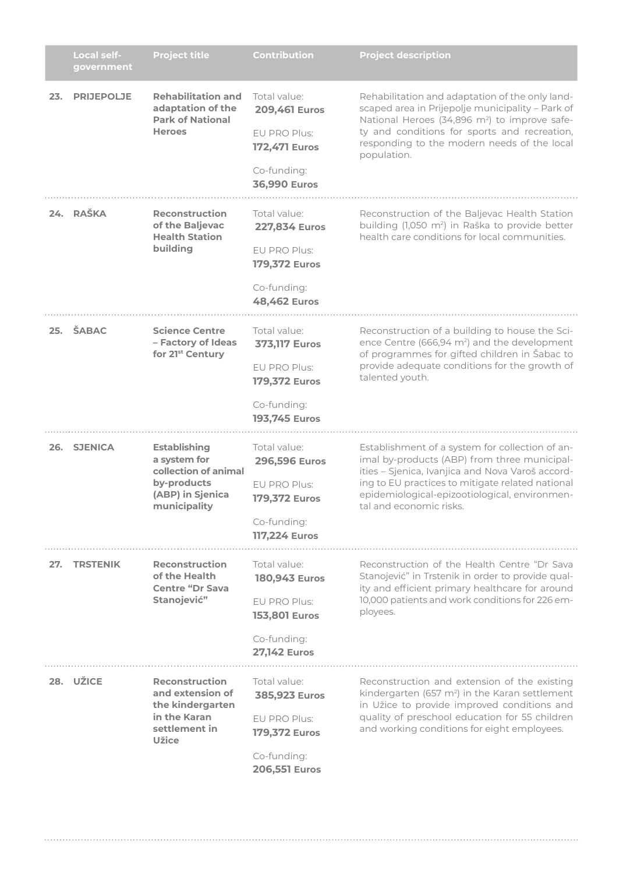|     | <b>Local self-</b><br>government | <b>Project title</b>                                                                                           | Contribution                                                                                                        | <b>Project description</b>                                                                                                                                                                                                                                                          |
|-----|----------------------------------|----------------------------------------------------------------------------------------------------------------|---------------------------------------------------------------------------------------------------------------------|-------------------------------------------------------------------------------------------------------------------------------------------------------------------------------------------------------------------------------------------------------------------------------------|
| 23. | <b>PRIJEPOLJE</b>                | <b>Rehabilitation and</b><br>adaptation of the<br><b>Park of National</b><br><b>Heroes</b>                     | Total value:<br><b>209,461 Euros</b><br>EU PRO Plus:<br><b>172,471 Euros</b><br>Co-funding:<br><b>36,990 Euros</b>  | Rehabilitation and adaptation of the only land-<br>scaped area in Prijepolje municipality - Park of<br>National Heroes (34,896 m <sup>2</sup> ) to improve safe-<br>ty and conditions for sports and recreation,<br>responding to the modern needs of the local<br>population.      |
|     | 24. RAŠKA                        | <b>Reconstruction</b><br>of the Baljevac<br><b>Health Station</b><br>building                                  | Total value:<br><b>227,834 Euros</b><br>FU PRO Plus:<br><b>179,372 Euros</b><br>Co-funding:<br><b>48,462 Euros</b>  | Reconstruction of the Baljevac Health Station<br>building (1,050 m <sup>2</sup> ) in Raška to provide better<br>health care conditions for local communities.                                                                                                                       |
| 25. | ŠABAC                            | <b>Science Centre</b><br>- Factory of Ideas<br>for 21 <sup>st</sup> Century                                    | Total value:<br><b>373,117 Euros</b><br>EU PRO Plus:<br><b>179,372 Euros</b><br>Co-funding:<br><b>193,745 Euros</b> | Reconstruction of a building to house the Sci-<br>ence Centre (666,94 m <sup>2</sup> ) and the development<br>of programmes for gifted children in Šabac to<br>provide adequate conditions for the growth of<br>talented youth.                                                     |
|     | 26. SJENICA                      | <b>Establishing</b><br>a system for<br>collection of animal<br>by-products<br>(ABP) in Sjenica<br>municipality | Total value:<br>296,596 Euros<br>EU PRO Plus:<br>179,372 Euros<br>Co-funding:<br><b>117,224 Euros</b>               | Establishment of a system for collection of an-<br>imal by-products (ABP) from three municipal-<br>ities - Sjenica, Ivanjica and Nova Varoš accord-<br>ing to EU practices to mitigate related national<br>epidemiological-epizootiological, environmen-<br>tal and economic risks. |
| 27. | <b>TRSTENIK</b>                  | <b>Reconstruction</b><br>of the Health<br><b>Centre "Dr Sava</b><br>Stanojević"                                | Total value:<br>180,943 Euros<br>EU PRO Plus:<br><b>153,801 Euros</b><br>Co-funding:<br><b>27,142 Euros</b>         | Reconstruction of the Health Centre "Dr Sava<br>Stanojević" in Trstenik in order to provide qual-<br>ity and efficient primary healthcare for around<br>10,000 patients and work conditions for 226 em-<br>ployees.                                                                 |
|     | 28. UŽICE                        | <b>Reconstruction</b><br>and extension of<br>the kindergarten<br>in the Karan<br>settlement in<br><b>Užice</b> | Total value:<br>385,923 Euros<br>EU PRO Plus:<br><b>179,372 Euros</b><br>Co-funding:<br><b>206,551 Euros</b>        | Reconstruction and extension of the existing<br>kindergarten (657 m <sup>2</sup> ) in the Karan settlement<br>in Užice to provide improved conditions and<br>quality of preschool education for 55 children<br>and working conditions for eight employees.                          |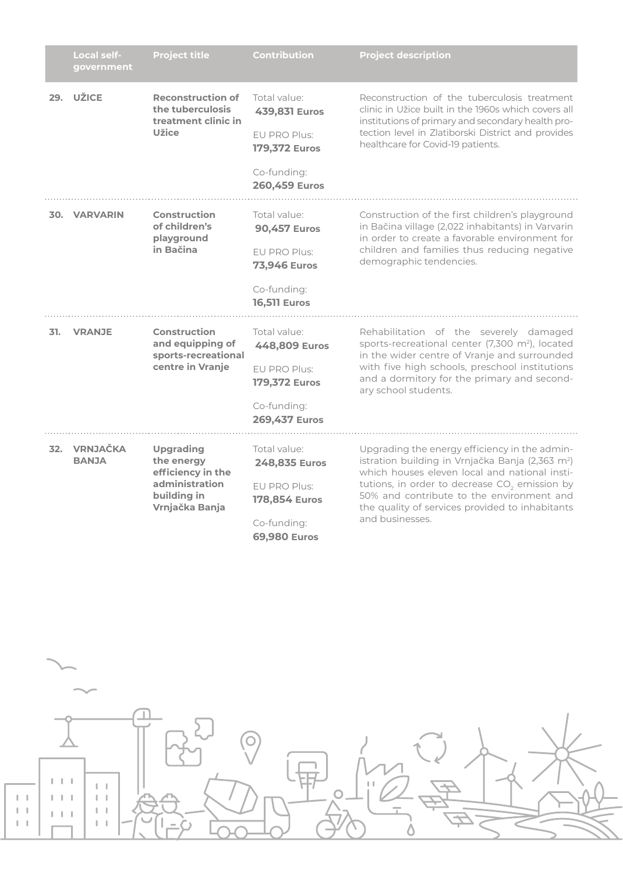|     | Local self-<br>government    | <b>Project title</b>                                                                                   | <b>Contribution</b>                                                                                              | <b>Project description</b>                                                                                                                                                                                                                                                                                                                     |
|-----|------------------------------|--------------------------------------------------------------------------------------------------------|------------------------------------------------------------------------------------------------------------------|------------------------------------------------------------------------------------------------------------------------------------------------------------------------------------------------------------------------------------------------------------------------------------------------------------------------------------------------|
| 29. | <b>UŽICE</b>                 | <b>Reconstruction of</b><br>the tuberculosis<br>treatment clinic in<br><b>Užice</b>                    | Total value:<br>439,831 Euros<br>EU PRO Plus:<br><b>179,372 Euros</b><br>Co-funding:<br>260,459 Euros            | Reconstruction of the tuberculosis treatment<br>clinic in Užice built in the 1960s which covers all<br>institutions of primary and secondary health pro-<br>tection level in Zlatiborski District and provides<br>healthcare for Covid-19 patients.                                                                                            |
|     | 30. VARVARIN                 | <b>Construction</b><br>of children's<br>playground<br>in Bačina                                        | Total value:<br><b>90,457 Euros</b><br>EU PRO Plus:<br><b>73,946 Euros</b><br>Co-funding:<br><b>16,511 Euros</b> | Construction of the first children's playground<br>in Bačina village (2,022 inhabitants) in Varvarin<br>in order to create a favorable environment for<br>children and families thus reducing negative<br>demographic tendencies.                                                                                                              |
| 31. | <b>VRANJE</b>                | <b>Construction</b><br>and equipping of<br>sports-recreational<br>centre in Vranje                     | Total value:<br>448,809 Euros<br>EU PRO Plus:<br><b>179,372 Euros</b><br>Co-funding:<br>269,437 Euros            | Rehabilitation of the severely damaged<br>sports-recreational center (7,300 m <sup>2</sup> ), located<br>in the wider centre of Vranje and surrounded<br>with five high schools, preschool institutions<br>and a dormitory for the primary and second-<br>ary school students.                                                                 |
|     | 32. VRNJAČKA<br><b>BANJA</b> | <b>Upgrading</b><br>the energy<br>efficiency in the<br>administration<br>building in<br>Vrnjačka Banja | Total value:<br>248,835 Euros<br>EU PRO Plus:<br>178,854 Euros<br>Co-funding:<br>69,980 Euros                    | Upgrading the energy efficiency in the admin-<br>istration building in Vrnjačka Banja (2,363 m <sup>2</sup> )<br>which houses eleven local and national insti-<br>tutions, in order to decrease CO <sub>2</sub> emission by<br>50% and contribute to the environment and<br>the quality of services provided to inhabitants<br>and businesses. |

 $\frac{1}{\sqrt{2}}$ 2000年2月第  $\begin{tabular}{|c|c|c|} \hline & & & & \\ \hline & & & & \\ \hline & & & & \\ \hline & & & & \\ \hline & & & & \\ \hline & & & & \\ \hline & & & & \\ \hline & & & & \\ \hline & & & & \\ \hline & & & & \\ \hline & & & & \\ \hline \end{tabular}$  $\begin{array}{c} 1 & 1 & 1 \end{array}$  $\begin{array}{c} 1 & 1 \\ 1 & 1 \\ 1 & 1 \end{array}$  $\|\cdot\|=\|\cdot\|$  $\|\cdot\|$